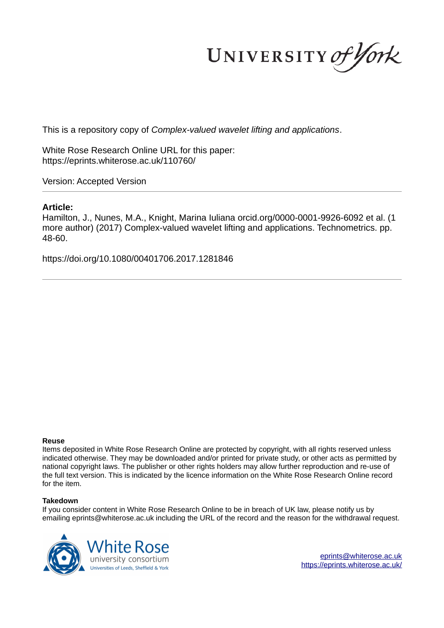UNIVERSITY of York

This is a repository copy of *Complex-valued wavelet lifting and applications*.

White Rose Research Online URL for this paper: https://eprints.whiterose.ac.uk/110760/

Version: Accepted Version

### **Article:**

Hamilton, J., Nunes, M.A., Knight, Marina Iuliana orcid.org/0000-0001-9926-6092 et al. (1 more author) (2017) Complex-valued wavelet lifting and applications. Technometrics. pp. 48-60.

https://doi.org/10.1080/00401706.2017.1281846

### **Reuse**

Items deposited in White Rose Research Online are protected by copyright, with all rights reserved unless indicated otherwise. They may be downloaded and/or printed for private study, or other acts as permitted by national copyright laws. The publisher or other rights holders may allow further reproduction and re-use of the full text version. This is indicated by the licence information on the White Rose Research Online record for the item.

### **Takedown**

If you consider content in White Rose Research Online to be in breach of UK law, please notify us by emailing eprints@whiterose.ac.uk including the URL of the record and the reason for the withdrawal request.

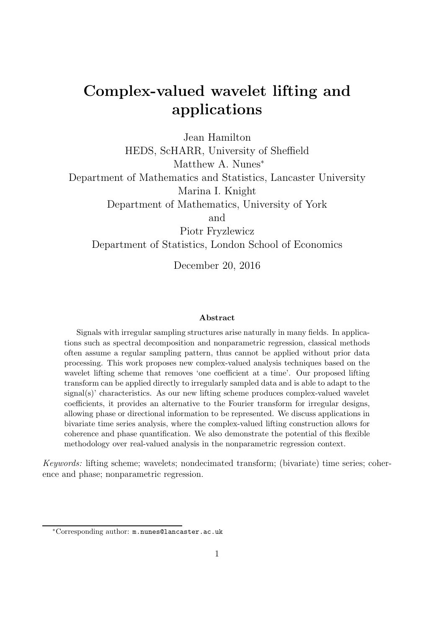# Complex-valued wavelet lifting and applications

Jean Hamilton HEDS, ScHARR, University of Sheffield Matthew A. Nunes<sup>\*</sup> Department of Mathematics and Statistics, Lancaster University Marina I. Knight Department of Mathematics, University of York and Piotr Fryzlewicz Department of Statistics, London School of Economics

December 20, 2016

#### Abstract

Signals with irregular sampling structures arise naturally in many fields. In applications such as spectral decomposition and nonparametric regression, classical methods often assume a regular sampling pattern, thus cannot be applied without prior data processing. This work proposes new complex-valued analysis techniques based on the wavelet lifting scheme that removes 'one coefficient at a time'. Our proposed lifting transform can be applied directly to irregularly sampled data and is able to adapt to the signal(s)' characteristics. As our new lifting scheme produces complex-valued wavelet coefficients, it provides an alternative to the Fourier transform for irregular designs, allowing phase or directional information to be represented. We discuss applications in bivariate time series analysis, where the complex-valued lifting construction allows for coherence and phase quantification. We also demonstrate the potential of this flexible methodology over real-valued analysis in the nonparametric regression context.

Keywords: lifting scheme; wavelets; nondecimated transform; (bivariate) time series; coherence and phase; nonparametric regression.

<sup>∗</sup>Corresponding author: m.nunes@lancaster.ac.uk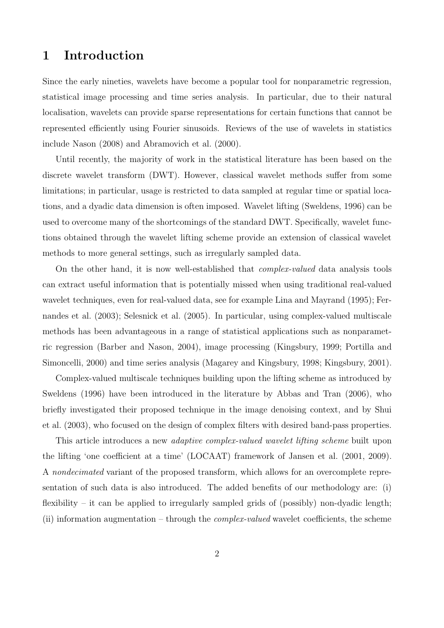# 1 Introduction

Since the early nineties, wavelets have become a popular tool for nonparametric regression, statistical image processing and time series analysis. In particular, due to their natural localisation, wavelets can provide sparse representations for certain functions that cannot be represented efficiently using Fourier sinusoids. Reviews of the use of wavelets in statistics include Nason (2008) and Abramovich et al. (2000).

Until recently, the majority of work in the statistical literature has been based on the discrete wavelet transform (DWT). However, classical wavelet methods suffer from some limitations; in particular, usage is restricted to data sampled at regular time or spatial locations, and a dyadic data dimension is often imposed. Wavelet lifting (Sweldens, 1996) can be used to overcome many of the shortcomings of the standard DWT. Specifically, wavelet functions obtained through the wavelet lifting scheme provide an extension of classical wavelet methods to more general settings, such as irregularly sampled data.

On the other hand, it is now well-established that complex-valued data analysis tools can extract useful information that is potentially missed when using traditional real-valued wavelet techniques, even for real-valued data, see for example Lina and Mayrand (1995); Fernandes et al. (2003); Selesnick et al. (2005). In particular, using complex-valued multiscale methods has been advantageous in a range of statistical applications such as nonparametric regression (Barber and Nason, 2004), image processing (Kingsbury, 1999; Portilla and Simoncelli, 2000) and time series analysis (Magarey and Kingsbury, 1998; Kingsbury, 2001).

Complex-valued multiscale techniques building upon the lifting scheme as introduced by Sweldens (1996) have been introduced in the literature by Abbas and Tran (2006), who briefly investigated their proposed technique in the image denoising context, and by Shui et al. (2003), who focused on the design of complex filters with desired band-pass properties.

This article introduces a new adaptive complex-valued wavelet lifting scheme built upon the lifting 'one coefficient at a time' (LOCAAT) framework of Jansen et al. (2001, 2009). A nondecimated variant of the proposed transform, which allows for an overcomplete representation of such data is also introduced. The added benefits of our methodology are: (i) flexibility – it can be applied to irregularly sampled grids of (possibly) non-dyadic length; (ii) information augmentation – through the *complex-valued* wavelet coefficients, the scheme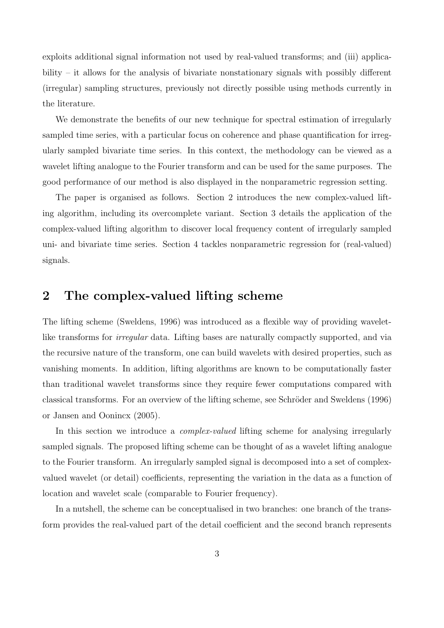exploits additional signal information not used by real-valued transforms; and (iii) applicability – it allows for the analysis of bivariate nonstationary signals with possibly different (irregular) sampling structures, previously not directly possible using methods currently in the literature.

We demonstrate the benefits of our new technique for spectral estimation of irregularly sampled time series, with a particular focus on coherence and phase quantification for irregularly sampled bivariate time series. In this context, the methodology can be viewed as a wavelet lifting analogue to the Fourier transform and can be used for the same purposes. The good performance of our method is also displayed in the nonparametric regression setting.

The paper is organised as follows. Section 2 introduces the new complex-valued lifting algorithm, including its overcomplete variant. Section 3 details the application of the complex-valued lifting algorithm to discover local frequency content of irregularly sampled uni- and bivariate time series. Section 4 tackles nonparametric regression for (real-valued) signals.

### 2 The complex-valued lifting scheme

The lifting scheme (Sweldens, 1996) was introduced as a flexible way of providing waveletlike transforms for *irregular* data. Lifting bases are naturally compactly supported, and via the recursive nature of the transform, one can build wavelets with desired properties, such as vanishing moments. In addition, lifting algorithms are known to be computationally faster than traditional wavelet transforms since they require fewer computations compared with classical transforms. For an overview of the lifting scheme, see Schröder and Sweldens (1996) or Jansen and Oonincx (2005).

In this section we introduce a *complex-valued* lifting scheme for analysing irregularly sampled signals. The proposed lifting scheme can be thought of as a wavelet lifting analogue to the Fourier transform. An irregularly sampled signal is decomposed into a set of complexvalued wavelet (or detail) coefficients, representing the variation in the data as a function of location and wavelet scale (comparable to Fourier frequency).

In a nutshell, the scheme can be conceptualised in two branches: one branch of the transform provides the real-valued part of the detail coefficient and the second branch represents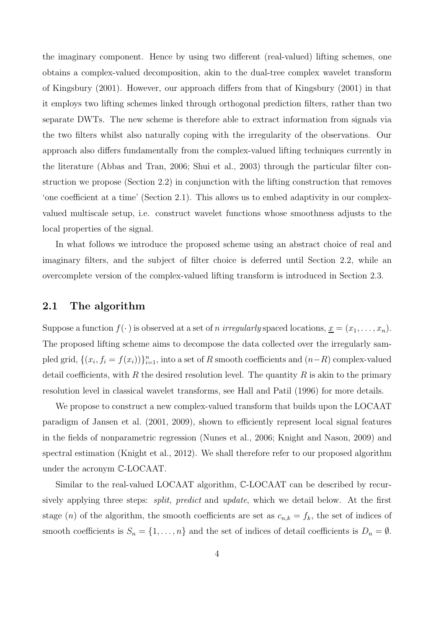the imaginary component. Hence by using two different (real-valued) lifting schemes, one obtains a complex-valued decomposition, akin to the dual-tree complex wavelet transform of Kingsbury (2001). However, our approach differs from that of Kingsbury (2001) in that it employs two lifting schemes linked through orthogonal prediction filters, rather than two separate DWTs. The new scheme is therefore able to extract information from signals via the two filters whilst also naturally coping with the irregularity of the observations. Our approach also differs fundamentally from the complex-valued lifting techniques currently in the literature (Abbas and Tran, 2006; Shui et al., 2003) through the particular filter construction we propose (Section 2.2) in conjunction with the lifting construction that removes 'one coefficient at a time' (Section 2.1). This allows us to embed adaptivity in our complexvalued multiscale setup, i.e. construct wavelet functions whose smoothness adjusts to the local properties of the signal.

In what follows we introduce the proposed scheme using an abstract choice of real and imaginary filters, and the subject of filter choice is deferred until Section 2.2, while an overcomplete version of the complex-valued lifting transform is introduced in Section 2.3.

### 2.1 The algorithm

Suppose a function  $f(\cdot)$  is observed at a set of *n irregularly* spaced locations,  $\underline{x} = (x_1, \ldots, x_n)$ . The proposed lifting scheme aims to decompose the data collected over the irregularly sampled grid,  $\{(x_i, f_i = f(x_i))\}_{i=1}^n$ , into a set of R smooth coefficients and  $(n-R)$  complex-valued detail coefficients, with R the desired resolution level. The quantity R is akin to the primary resolution level in classical wavelet transforms, see Hall and Patil (1996) for more details.

We propose to construct a new complex-valued transform that builds upon the LOCAAT paradigm of Jansen et al. (2001, 2009), shown to efficiently represent local signal features in the fields of nonparametric regression (Nunes et al., 2006; Knight and Nason, 2009) and spectral estimation (Knight et al., 2012). We shall therefore refer to our proposed algorithm under the acronym C-LOCAAT.

Similar to the real-valued LOCAAT algorithm, C-LOCAAT can be described by recursively applying three steps: *split, predict* and *update*, which we detail below. At the first stage (n) of the algorithm, the smooth coefficients are set as  $c_{n,k} = f_k$ , the set of indices of smooth coefficients is  $S_n = \{1, \ldots, n\}$  and the set of indices of detail coefficients is  $D_n = \emptyset$ .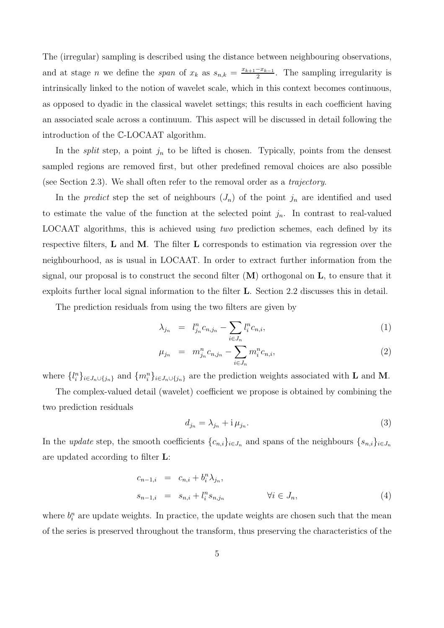The (irregular) sampling is described using the distance between neighbouring observations, and at stage *n* we define the *span* of  $x_k$  as  $s_{n,k} = \frac{x_{k+1}-x_{k-1}}{2}$ . The sampling irregularity is intrinsically linked to the notion of wavelet scale, which in this context becomes continuous, as opposed to dyadic in the classical wavelet settings; this results in each coefficient having an associated scale across a continuum. This aspect will be discussed in detail following the introduction of the C-LOCAAT algorithm.

In the *split* step, a point  $j_n$  to be lifted is chosen. Typically, points from the densest sampled regions are removed first, but other predefined removal choices are also possible (see Section 2.3). We shall often refer to the removal order as a trajectory.

In the *predict* step the set of neighbours  $(J_n)$  of the point  $j_n$  are identified and used to estimate the value of the function at the selected point  $j_n$ . In contrast to real-valued LOCAAT algorithms, this is achieved using two prediction schemes, each defined by its respective filters, L and M. The filter L corresponds to estimation via regression over the neighbourhood, as is usual in LOCAAT. In order to extract further information from the signal, our proposal is to construct the second filter  $(M)$  orthogonal on  $L$ , to ensure that it exploits further local signal information to the filter L. Section 2.2 discusses this in detail.

The prediction residuals from using the two filters are given by

$$
\lambda_{j_n} = l_{j_n}^n c_{n,j_n} - \sum_{i \in J_n} l_i^n c_{n,i}, \tag{1}
$$

$$
\mu_{j_n} = m_{j_n}^n c_{n,j_n} - \sum_{i \in J_n} m_i^n c_{n,i}, \qquad (2)
$$

where  $\{l_i^n\}_{i\in J_n\cup\{j_n\}}$  and  $\{m_i^n\}_{i\in J_n\cup\{j_n\}}$  are the prediction weights associated with **L** and **M**.

The complex-valued detail (wavelet) coefficient we propose is obtained by combining the two prediction residuals

$$
d_{j_n} = \lambda_{j_n} + \mathrm{i}\,\mu_{j_n}.\tag{3}
$$

In the update step, the smooth coefficients  $\{c_{n,i}\}_{i\in J_n}$  and spans of the neighbours  $\{s_{n,i}\}_{i\in J_n}$ are updated according to filter L:

$$
c_{n-1,i} = c_{n,i} + b_i^n \lambda_{j_n},
$$
  
\n
$$
s_{n-1,i} = s_{n,i} + l_i^n s_{n,j_n} \qquad \forall i \in J_n,
$$
\n(4)

where  $b_i^n$  are update weights. In practice, the update weights are chosen such that the mean of the series is preserved throughout the transform, thus preserving the characteristics of the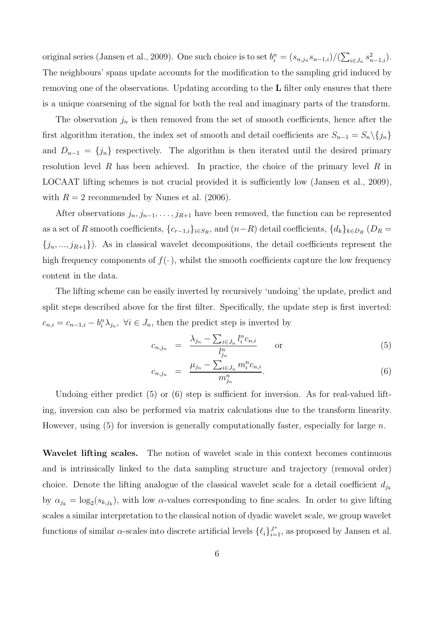original series (Jansen et al., 2009). One such choice is to set  $b_i^n = (s_{n,j_n} s_{n-1,i})/(\sum_{i \in J_n} s_{n-1,i}^2)$ . The neighbours' spans update accounts for the modification to the sampling grid induced by removing one of the observations. Updating according to the L filter only ensures that there is a unique coarsening of the signal for both the real and imaginary parts of the transform.

The observation  $j_n$  is then removed from the set of smooth coefficients, hence after the first algorithm iteration, the index set of smooth and detail coefficients are  $S_{n-1} = S_n \setminus \{j_n\}$ and  $D_{n-1} = \{j_n\}$  respectively. The algorithm is then iterated until the desired primary resolution level  $R$  has been achieved. In practice, the choice of the primary level  $R$  in LOCAAT lifting schemes is not crucial provided it is sufficiently low (Jansen et al., 2009), with  $R = 2$  recommended by Nunes et al. (2006).

After observations  $j_n, j_{n-1}, \ldots, j_{R+1}$  have been removed, the function can be represented as a set of R smooth coefficients,  $\{c_{r-1,i}\}_{i\in S_R}$ , and  $(n-R)$  detail coefficients,  $\{d_k\}_{k\in D_R}$   $(D_R =$  ${j_n, ..., j_{R+1}}$ ). As in classical wavelet decompositions, the detail coefficients represent the high frequency components of  $f(\cdot)$ , whilst the smooth coefficients capture the low frequency content in the data.

The lifting scheme can be easily inverted by recursively 'undoing' the update, predict and split steps described above for the first filter. Specifically, the update step is first inverted:  $c_{n,i} = c_{n-1,i} - b_i^n \lambda_{j_n}, \ \forall i \in J_n$ , then the predict step is inverted by

$$
c_{n,j_n} = \frac{\lambda_{j_n} - \sum_{i \in J_n} l_i^n c_{n,i}}{l_{j_n}^n} \quad \text{or} \quad (5)
$$

$$
c_{n,j_n} = \frac{\mu_{j_n} - \sum_{i \in J_n} m_i^n c_{n,i}}{m_{j_n}^n}.
$$
\n(6)

Undoing either predict (5) or (6) step is sufficient for inversion. As for real-valued lifting, inversion can also be performed via matrix calculations due to the transform linearity. However, using  $(5)$  for inversion is generally computationally faster, especially for large n.

Wavelet lifting scales. The notion of wavelet scale in this context becomes continuous and is intrinsically linked to the data sampling structure and trajectory (removal order) choice. Denote the lifting analogue of the classical wavelet scale for a detail coefficient  $d_{j_k}$ by  $\alpha_{j_k} = \log_2(s_{k,j_k})$ , with low  $\alpha$ -values corresponding to fine scales. In order to give lifting scales a similar interpretation to the classical notion of dyadic wavelet scale, we group wavelet functions of similar  $\alpha$ -scales into discrete artificial levels  $\{\ell_i\}_{i=1}^{J^*}$ , as proposed by Jansen et al.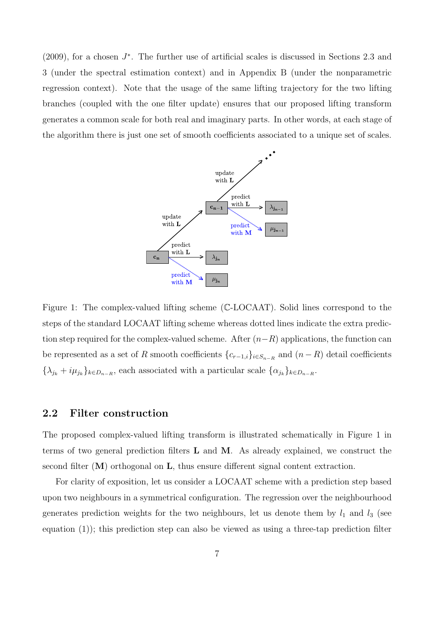$(2009)$ , for a chosen  $J^*$ . The further use of artificial scales is discussed in Sections 2.3 and 3 (under the spectral estimation context) and in Appendix B (under the nonparametric regression context). Note that the usage of the same lifting trajectory for the two lifting branches (coupled with the one filter update) ensures that our proposed lifting transform generates a common scale for both real and imaginary parts. In other words, at each stage of the algorithm there is just one set of smooth coefficients associated to a unique set of scales.



Figure 1: The complex-valued lifting scheme (C-LOCAAT). Solid lines correspond to the steps of the standard LOCAAT lifting scheme whereas dotted lines indicate the extra prediction step required for the complex-valued scheme. After  $(n-R)$  applications, the function can be represented as a set of R smooth coefficients  $\{c_{r-1,i}\}_{i\in S_{n-R}}$  and  $(n-R)$  detail coefficients  $\{\lambda_{j_k} + i\mu_{j_k}\}_{k \in D_{n-R}}$ , each associated with a particular scale  $\{\alpha_{j_k}\}_{k \in D_{n-R}}$ .

### 2.2 Filter construction

The proposed complex-valued lifting transform is illustrated schematically in Figure 1 in terms of two general prediction filters  $L$  and  $M$ . As already explained, we construct the second filter  $(M)$  orthogonal on  $L$ , thus ensure different signal content extraction.

For clarity of exposition, let us consider a LOCAAT scheme with a prediction step based upon two neighbours in a symmetrical configuration. The regression over the neighbourhood generates prediction weights for the two neighbours, let us denote them by  $l_1$  and  $l_3$  (see equation (1)); this prediction step can also be viewed as using a three-tap prediction filter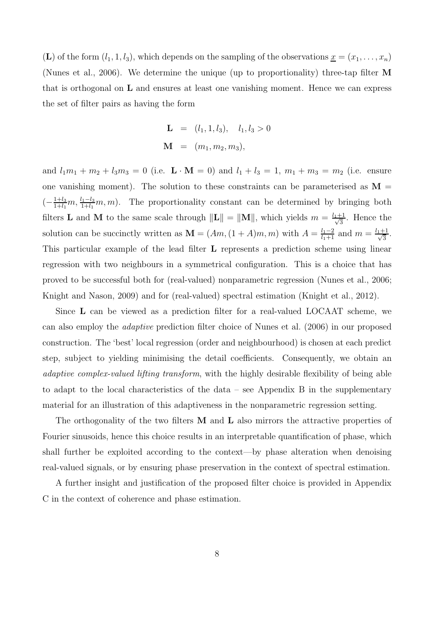(L) of the form  $(l_1, 1, l_3)$ , which depends on the sampling of the observations  $\underline{x} = (x_1, \ldots, x_n)$ (Nunes et al., 2006). We determine the unique (up to proportionality) three-tap filter M that is orthogonal on  $\bf{L}$  and ensures at least one vanishing moment. Hence we can express the set of filter pairs as having the form

$$
\mathbf{L} = (l_1, 1, l_3), \quad l_1, l_3 > 0
$$
  

$$
\mathbf{M} = (m_1, m_2, m_3),
$$

and  $l_1m_1 + m_2 + l_3m_3 = 0$  (i.e.  $\mathbf{L} \cdot \mathbf{M} = 0$ ) and  $l_1 + l_3 = 1$ ,  $m_1 + m_3 = m_2$  (i.e. ensure one vanishing moment). The solution to these constraints can be parameterised as  $M =$  $\left(-\frac{1+l_3}{1+l_1}\right)$  $\frac{1+l_3}{1+l_1}m, \frac{l_1-l_3}{1+l_1}m, m$ . The proportionality constant can be determined by bringing both filters **L** and **M** to the same scale through  $\|\mathbf{L}\| = \|\mathbf{M}\|$ , which yields  $m = \frac{l_1+1}{\sqrt{2}}$  $\frac{1}{3}$ . Hence the solution can be succinctly written as  $\mathbf{M} = (Am, (1+A)m, m)$  with  $A = \frac{l_1-2}{l_1+1}$  and  $m = \frac{l_1+1}{\sqrt{3}}$  $\frac{-1}{3}$ . This particular example of the lead filter L represents a prediction scheme using linear regression with two neighbours in a symmetrical configuration. This is a choice that has proved to be successful both for (real-valued) nonparametric regression (Nunes et al., 2006; Knight and Nason, 2009) and for (real-valued) spectral estimation (Knight et al., 2012).

Since L can be viewed as a prediction filter for a real-valued LOCAAT scheme, we can also employ the adaptive prediction filter choice of Nunes et al. (2006) in our proposed construction. The 'best' local regression (order and neighbourhood) is chosen at each predict step, subject to yielding minimising the detail coefficients. Consequently, we obtain an adaptive complex-valued lifting transform, with the highly desirable flexibility of being able to adapt to the local characteristics of the data – see Appendix B in the supplementary material for an illustration of this adaptiveness in the nonparametric regression setting.

The orthogonality of the two filters  $M$  and  $L$  also mirrors the attractive properties of Fourier sinusoids, hence this choice results in an interpretable quantification of phase, which shall further be exploited according to the context—by phase alteration when denoising real-valued signals, or by ensuring phase preservation in the context of spectral estimation.

A further insight and justification of the proposed filter choice is provided in Appendix C in the context of coherence and phase estimation.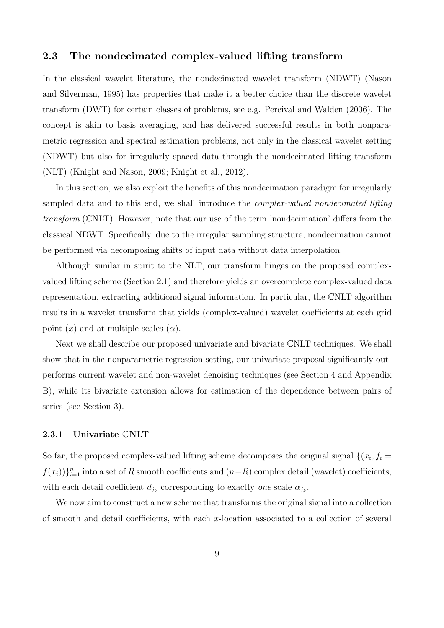### 2.3 The nondecimated complex-valued lifting transform

In the classical wavelet literature, the nondecimated wavelet transform (NDWT) (Nason and Silverman, 1995) has properties that make it a better choice than the discrete wavelet transform (DWT) for certain classes of problems, see e.g. Percival and Walden (2006). The concept is akin to basis averaging, and has delivered successful results in both nonparametric regression and spectral estimation problems, not only in the classical wavelet setting (NDWT) but also for irregularly spaced data through the nondecimated lifting transform (NLT) (Knight and Nason, 2009; Knight et al., 2012).

In this section, we also exploit the benefits of this nondecimation paradigm for irregularly sampled data and to this end, we shall introduce the *complex-valued nondecimated lifting* transform (CNLT). However, note that our use of the term 'nondecimation' differs from the classical NDWT. Specifically, due to the irregular sampling structure, nondecimation cannot be performed via decomposing shifts of input data without data interpolation.

Although similar in spirit to the NLT, our transform hinges on the proposed complexvalued lifting scheme (Section 2.1) and therefore yields an overcomplete complex-valued data representation, extracting additional signal information. In particular, the CNLT algorithm results in a wavelet transform that yields (complex-valued) wavelet coefficients at each grid point  $(x)$  and at multiple scales  $(\alpha)$ .

Next we shall describe our proposed univariate and bivariate CNLT techniques. We shall show that in the nonparametric regression setting, our univariate proposal significantly outperforms current wavelet and non-wavelet denoising techniques (see Section 4 and Appendix B), while its bivariate extension allows for estimation of the dependence between pairs of series (see Section 3).

### 2.3.1 Univariate CNLT

So far, the proposed complex-valued lifting scheme decomposes the original signal  $\{(x_i, f_i =$  $f(x_i)$ } $_{i=1}^n$  into a set of R smooth coefficients and  $(n-R)$  complex detail (wavelet) coefficients, with each detail coefficient  $d_{j_k}$  corresponding to exactly one scale  $\alpha_{j_k}$ .

We now aim to construct a new scheme that transforms the original signal into a collection of smooth and detail coefficients, with each  $x$ -location associated to a collection of several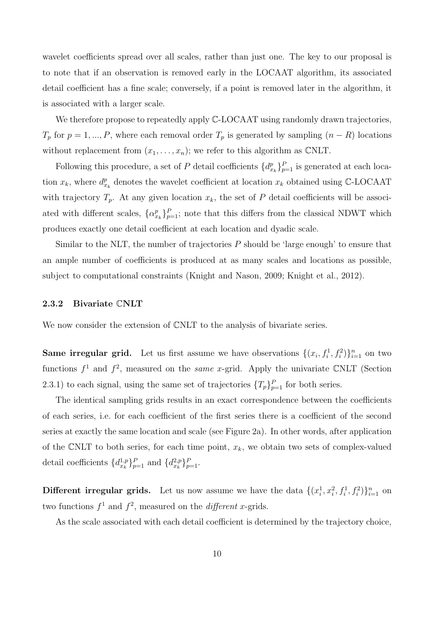wavelet coefficients spread over all scales, rather than just one. The key to our proposal is to note that if an observation is removed early in the LOCAAT algorithm, its associated detail coefficient has a fine scale; conversely, if a point is removed later in the algorithm, it is associated with a larger scale.

We therefore propose to repeatedly apply  $\mathbb{C}\text{-LOCAAT}$  using randomly drawn trajectories,  $T_p$  for  $p = 1, ..., P$ , where each removal order  $T_p$  is generated by sampling  $(n - R)$  locations without replacement from  $(x_1, \ldots, x_n)$ ; we refer to this algorithm as CNLT.

Following this procedure, a set of P detail coefficients  $\{d_{x_k}^p\}_{p=1}^P$  is generated at each location  $x_k$ , where  $d_{x_k}^p$  denotes the wavelet coefficient at location  $x_k$  obtained using C-LOCAAT with trajectory  $T_p$ . At any given location  $x_k$ , the set of P detail coefficients will be associated with different scales,  $\{\alpha_{x_k}^p\}_{p=1}^P$ ; note that this differs from the classical NDWT which produces exactly one detail coefficient at each location and dyadic scale.

Similar to the NLT, the number of trajectories P should be 'large enough' to ensure that an ample number of coefficients is produced at as many scales and locations as possible, subject to computational constraints (Knight and Nason, 2009; Knight et al., 2012).

### 2.3.2 Bivariate CNLT

We now consider the extension of CNLT to the analysis of bivariate series.

**Same irregular grid.** Let us first assume we have observations  $\{(x_i, f_i^1, f_i^2)\}_{i=1}^n$  on two functions  $f^1$  and  $f^2$ , measured on the *same x*-grid. Apply the univariate CNLT (Section 2.3.1) to each signal, using the same set of trajectories  $\{T_p\}_{p=1}^P$  for both series.

The identical sampling grids results in an exact correspondence between the coefficients of each series, i.e. for each coefficient of the first series there is a coefficient of the second series at exactly the same location and scale (see Figure 2a). In other words, after application of the CNLT to both series, for each time point,  $x_k$ , we obtain two sets of complex-valued detail coefficients  $\{d_{x_k}^{1,p}\}_{p=1}^P$  and  $\{d_{x_k}^{2,p}\}_{p=1}^P$ .

**Different irregular grids.** Let us now assume we have the data  $\{(x_i^1, x_i^2, f_i^1, f_i^2)\}_{i=1}^n$  on two functions  $f^1$  and  $f^2$ , measured on the *different x*-grids.

As the scale associated with each detail coefficient is determined by the trajectory choice,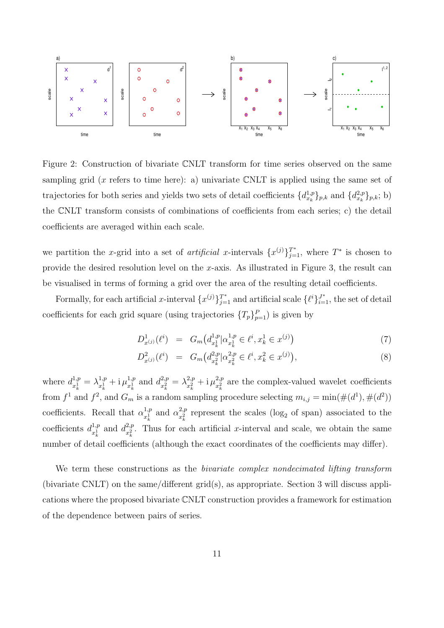

Figure 2: Construction of bivariate CNLT transform for time series observed on the same sampling grid (x refers to time here): a) univariate CNLT is applied using the same set of trajectories for both series and yields two sets of detail coefficients  $\{d_{x_k}^{1,p}\}_{p,k}$  and  $\{d_{x_k}^{2,p}\}_{p,k}$ ; b) the CNLT transform consists of combinations of coefficients from each series; c) the detail coefficients are averaged within each scale.

we partition the x-grid into a set of *artificial* x-intervals  $\{x^{(j)}\}_{j=1}^{T^*}$ , where  $T^*$  is chosen to provide the desired resolution level on the x-axis. As illustrated in Figure 3, the result can be visualised in terms of forming a grid over the area of the resulting detail coefficients.

Formally, for each artificial x-interval  $\{x^{(j)}\}_{j=1}^{T^*}$  and artificial scale  $\{\ell^i\}_{i=1}^{J^*}$ , the set of detail coefficients for each grid square (using trajectories  $\{T_p\}_{p=1}^P$ ) is given by

D

$$
D_{x^{(j)}}^1(\ell^i) = G_m\big(d_{x_k^1}^{1,p}|\alpha_{x_k^1}^{1,p} \in \ell^i, x_k^1 \in x^{(j)}\big) \tag{7}
$$

$$
D_{x^{(j)}}^2(\ell^i) = G_m\big(d_{x_k^2}^{2,p}|\alpha_{x_k^2}^{2,p} \in \ell^i, x_k^2 \in x^{(j)}\big),\tag{8}
$$

where  $d_{x_1}^{1,p}$  $\frac{1,p}{x_k^1} = \lambda^{1,p}_{x_k^1}$  $x_k^{1,p} + i \mu_{x_k^1}^{1,p}$  $x_k^{1,p}$  and  $d_{x_k^2}^{2,p}$  $\frac{2,p}{x_k^2} = \lambda^{2,p}_{x_k^2}$  $x_k^{2,p}$  + i  $\mu_{x_k^2}^{2,p}$  $\frac{z,p}{x_k^2}$  are the complex-valued wavelet coefficients from  $f^1$  and  $f^2$ , and  $G_m$  is a random sampling procedure selecting  $m_{i,j} = \min(\#(d^1), \#(d^2))$ coefficients. Recall that  $\alpha_{r_1}^{1,p}$  $x_k^{1,p}$  and  $\alpha_{x_k^2}^{2,p}$  $\frac{z,p}{x_k^2}$  represent the scales (log<sub>2</sub> of span) associated to the coefficients  $d_{r_1}^{1,p}$  $x_k^{1,p}$  and  $d_{x_k^2}^{2,p}$  $x_k^{2,p}$ . Thus for each artificial x-interval and scale, we obtain the same number of detail coefficients (although the exact coordinates of the coefficients may differ).

We term these constructions as the *bivariate complex nondecimated lifting transform* (bivariate CNLT) on the same/different grid(s), as appropriate. Section 3 will discuss applications where the proposed bivariate CNLT construction provides a framework for estimation of the dependence between pairs of series.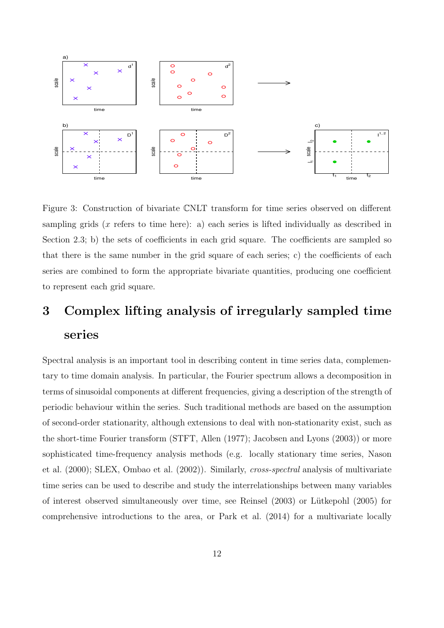

Figure 3: Construction of bivariate CNLT transform for time series observed on different sampling grids  $(x$  refers to time here): a) each series is lifted individually as described in Section 2.3; b) the sets of coefficients in each grid square. The coefficients are sampled so that there is the same number in the grid square of each series; c) the coefficients of each series are combined to form the appropriate bivariate quantities, producing one coefficient to represent each grid square.

# 3 Complex lifting analysis of irregularly sampled time series

Spectral analysis is an important tool in describing content in time series data, complementary to time domain analysis. In particular, the Fourier spectrum allows a decomposition in terms of sinusoidal components at different frequencies, giving a description of the strength of periodic behaviour within the series. Such traditional methods are based on the assumption of second-order stationarity, although extensions to deal with non-stationarity exist, such as the short-time Fourier transform (STFT, Allen (1977); Jacobsen and Lyons (2003)) or more sophisticated time-frequency analysis methods (e.g. locally stationary time series, Nason et al. (2000); SLEX, Ombao et al. (2002)). Similarly, cross-spectral analysis of multivariate time series can be used to describe and study the interrelationships between many variables of interest observed simultaneously over time, see Reinsel (2003) or Lütkepohl (2005) for comprehensive introductions to the area, or Park et al. (2014) for a multivariate locally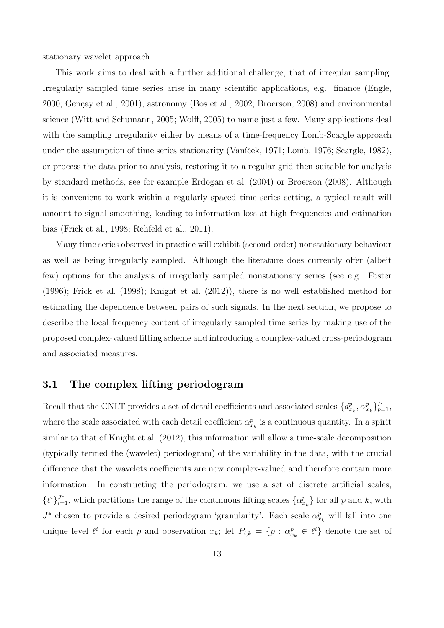stationary wavelet approach.

This work aims to deal with a further additional challenge, that of irregular sampling. Irregularly sampled time series arise in many scientific applications, e.g. finance (Engle, 2000; Gençay et al., 2001), astronomy (Bos et al., 2002; Broerson, 2008) and environmental science (Witt and Schumann, 2005; Wolff, 2005) to name just a few. Many applications deal with the sampling irregularity either by means of a time-frequency Lomb-Scargle approach under the assumption of time series stationarity (Vaníček, 1971; Lomb, 1976; Scargle, 1982), or process the data prior to analysis, restoring it to a regular grid then suitable for analysis by standard methods, see for example Erdogan et al. (2004) or Broerson (2008). Although it is convenient to work within a regularly spaced time series setting, a typical result will amount to signal smoothing, leading to information loss at high frequencies and estimation bias (Frick et al., 1998; Rehfeld et al., 2011).

Many time series observed in practice will exhibit (second-order) nonstationary behaviour as well as being irregularly sampled. Although the literature does currently offer (albeit few) options for the analysis of irregularly sampled nonstationary series (see e.g. Foster (1996); Frick et al. (1998); Knight et al. (2012)), there is no well established method for estimating the dependence between pairs of such signals. In the next section, we propose to describe the local frequency content of irregularly sampled time series by making use of the proposed complex-valued lifting scheme and introducing a complex-valued cross-periodogram and associated measures.

### 3.1 The complex lifting periodogram

Recall that the CNLT provides a set of detail coefficients and associated scales  $\{d_{x_k}^p, \alpha_{x_k}^p\}_{p=1}^P$ , where the scale associated with each detail coefficient  $\alpha_{x_k}^p$  is a continuous quantity. In a spirit similar to that of Knight et al. (2012), this information will allow a time-scale decomposition (typically termed the (wavelet) periodogram) of the variability in the data, with the crucial difference that the wavelets coefficients are now complex-valued and therefore contain more information. In constructing the periodogram, we use a set of discrete artificial scales,  $\{\ell^i\}_{i=1}^{J^*}$ , which partitions the range of the continuous lifting scales  $\{\alpha_{x_k}^p\}$  for all p and k, with  $J^*$  chosen to provide a desired periodogram 'granularity'. Each scale  $\alpha_{x_k}^p$  will fall into one unique level  $\ell^i$  for each p and observation  $x_k$ ; let  $P_{i,k} = \{p : \alpha_{x_k}^p \in \ell^i\}$  denote the set of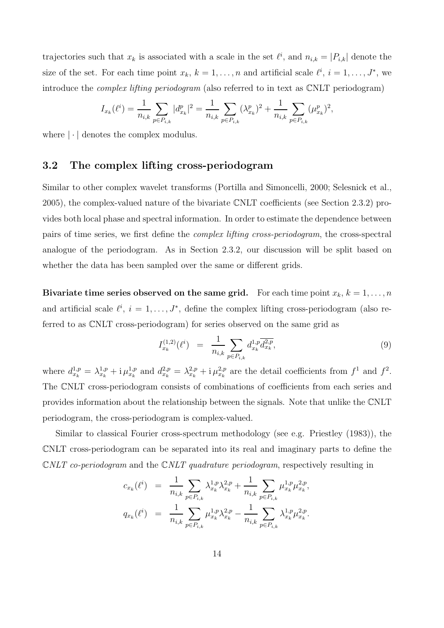trajectories such that  $x_k$  is associated with a scale in the set  $\ell^i$ , and  $n_{i,k} = |P_{i,k}|$  denote the size of the set. For each time point  $x_k$ ,  $k = 1, ..., n$  and artificial scale  $\ell^i$ ,  $i = 1, ..., J^*$ , we introduce the complex lifting periodogram (also referred to in text as CNLT periodogram)

$$
I_{x_k}(\ell^i) = \frac{1}{n_{i,k}} \sum_{p \in P_{i,k}} |d_{x_k}^p|^2 = \frac{1}{n_{i,k}} \sum_{p \in P_{i,k}} (\lambda_{x_k}^p)^2 + \frac{1}{n_{i,k}} \sum_{p \in P_{i,k}} (\mu_{x_k}^p)^2,
$$

where  $|\cdot|$  denotes the complex modulus.

### 3.2 The complex lifting cross-periodogram

Similar to other complex wavelet transforms (Portilla and Simoncelli, 2000; Selesnick et al., 2005), the complex-valued nature of the bivariate CNLT coefficients (see Section 2.3.2) provides both local phase and spectral information. In order to estimate the dependence between pairs of time series, we first define the complex lifting cross-periodogram, the cross-spectral analogue of the periodogram. As in Section 2.3.2, our discussion will be split based on whether the data has been sampled over the same or different grids.

Bivariate time series observed on the same grid. For each time point  $x_k$ ,  $k = 1, \ldots, n$ and artificial scale  $\ell^i$ ,  $i = 1, \ldots, J^*$ , define the complex lifting cross-periodogram (also referred to as CNLT cross-periodogram) for series observed on the same grid as

$$
I_{x_k}^{(1,2)}(\ell^i) = \frac{1}{n_{i,k}} \sum_{p \in P_{i,k}} d_{x_k}^{1,p} \overline{d_{x_k}^{2,p}}, \tag{9}
$$

where  $d_{x_k}^{1,p} = \lambda_{x_k}^{1,p} + i \mu_{x_k}^{1,p}$  and  $d_{x_k}^{2,p} = \lambda_{x_k}^{2,p} + i \mu_{x_k}^{2,p}$  are the detail coefficients from  $f^1$  and  $f^2$ . The CNLT cross-periodogram consists of combinations of coefficients from each series and provides information about the relationship between the signals. Note that unlike the CNLT periodogram, the cross-periodogram is complex-valued.

Similar to classical Fourier cross-spectrum methodology (see e.g. Priestley (1983)), the CNLT cross-periodogram can be separated into its real and imaginary parts to define the  $\mathbb{C}NLT$  co-periodogram and the  $\mathbb{C}NLT$  quadrature periodogram, respectively resulting in

$$
c_{x_k}(\ell^i) = \frac{1}{n_{i,k}} \sum_{p \in P_{i,k}} \lambda_{x_k}^{1,p} \lambda_{x_k}^{2,p} + \frac{1}{n_{i,k}} \sum_{p \in P_{i,k}} \mu_{x_k}^{1,p} \mu_{x_k}^{2,p},
$$
  

$$
q_{x_k}(\ell^i) = \frac{1}{n_{i,k}} \sum_{p \in P_{i,k}} \mu_{x_k}^{1,p} \lambda_{x_k}^{2,p} - \frac{1}{n_{i,k}} \sum_{p \in P_{i,k}} \lambda_{x_k}^{1,p} \mu_{x_k}^{2,p}.
$$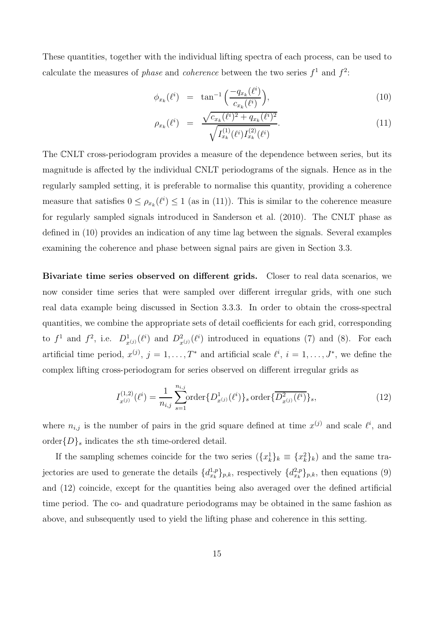These quantities, together with the individual lifting spectra of each process, can be used to calculate the measures of *phase* and *coherence* between the two series  $f^1$  and  $f^2$ :

$$
\phi_{x_k}(\ell^i) = \tan^{-1}\left(\frac{-q_{x_k}(\ell^i)}{c_{x_k}(\ell^i)}\right),\tag{10}
$$

$$
\rho_{x_k}(\ell^i) = \frac{\sqrt{c_{x_k}(\ell^i)^2 + q_{x_k}(\ell^i)^2}}{\sqrt{I_{x_k}^{(1)}(\ell^i)I_{x_k}^{(2)}(\ell^i)}}.
$$
\n(11)

The CNLT cross-periodogram provides a measure of the dependence between series, but its magnitude is affected by the individual CNLT periodograms of the signals. Hence as in the regularly sampled setting, it is preferable to normalise this quantity, providing a coherence measure that satisfies  $0 \leq \rho_{x_k}(\ell^i) \leq 1$  (as in (11)). This is similar to the coherence measure for regularly sampled signals introduced in Sanderson et al. (2010). The CNLT phase as defined in (10) provides an indication of any time lag between the signals. Several examples examining the coherence and phase between signal pairs are given in Section 3.3.

Bivariate time series observed on different grids. Closer to real data scenarios, we now consider time series that were sampled over different irregular grids, with one such real data example being discussed in Section 3.3.3. In order to obtain the cross-spectral quantities, we combine the appropriate sets of detail coefficients for each grid, corresponding to  $f^1$  and  $f^2$ , i.e.  $D^1_{x^{(j)}}(\ell^i)$  and  $D^2_{x^{(j)}}(\ell^i)$  introduced in equations (7) and (8). For each artificial time period,  $x^{(j)}$ ,  $j = 1, \ldots, T^*$  and artificial scale  $\ell^i$ ,  $i = 1, \ldots, J^*$ , we define the complex lifting cross-periodogram for series observed on different irregular grids as

$$
I_{x^{(j)}}^{(1,2)}(\ell^i) = \frac{1}{n_{i,j}} \sum_{s=1}^{n_{i,j}} \text{order}\{D_{x^{(j)}}^1(\ell^i)\}_s \text{ order}\{\overline{D_{x^{(j)}}^2(\ell^i)}\}_s,\tag{12}
$$

where  $n_{i,j}$  is the number of pairs in the grid square defined at time  $x^{(j)}$  and scale  $\ell^i$ , and order $\{D\}_s$  indicates the sth time-ordered detail.

If the sampling schemes coincide for the two series  $(\{x_k^1\}_k \equiv \{x_k^2\}_k)$  and the same trajectories are used to generate the details  $\{d_{x_k}^{1,p}\}_{p,k}$ , respectively  $\{d_{x_k}^{2,p}\}_{p,k}$ , then equations (9) and (12) coincide, except for the quantities being also averaged over the defined artificial time period. The co- and quadrature periodograms may be obtained in the same fashion as above, and subsequently used to yield the lifting phase and coherence in this setting.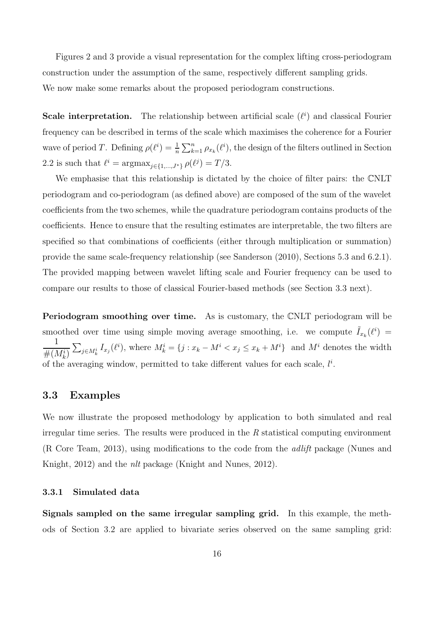Figures 2 and 3 provide a visual representation for the complex lifting cross-periodogram construction under the assumption of the same, respectively different sampling grids. We now make some remarks about the proposed periodogram constructions.

**Scale interpretation.** The relationship between artificial scale  $(\ell^i)$  and classical Fourier frequency can be described in terms of the scale which maximises the coherence for a Fourier wave of period T. Defining  $\rho(\ell^i) = \frac{1}{n} \sum_{k=1}^n \rho_{x_k}(\ell^i)$ , the design of the filters outlined in Section 2.2 is such that  $\ell^i = \arg \max_{j \in \{1, ..., J^*\}} \rho(\ell^j) = T/3$ .

We emphasise that this relationship is dictated by the choice of filter pairs: the CNLT periodogram and co-periodogram (as defined above) are composed of the sum of the wavelet coefficients from the two schemes, while the quadrature periodogram contains products of the coefficients. Hence to ensure that the resulting estimates are interpretable, the two filters are specified so that combinations of coefficients (either through multiplication or summation) provide the same scale-frequency relationship (see Sanderson (2010), Sections 5.3 and 6.2.1). The provided mapping between wavelet lifting scale and Fourier frequency can be used to compare our results to those of classical Fourier-based methods (see Section 3.3 next).

Periodogram smoothing over time. As is customary, the CNLT periodogram will be smoothed over time using simple moving average smoothing, i.e. we compute  $\tilde{I}_{x_k}(\ell^i) =$ 1  $#(M_k^i)$  $\sum_{j\in M_k^i} I_{x_j}(\ell^i)$ , where  $M_k^i = \{j : x_k - M^i < x_j \leq x_k + M^i\}$  and  $M^i$  denotes the width of the averaging window, permitted to take different values for each scale,  $l^i$ .

### 3.3 Examples

We now illustrate the proposed methodology by application to both simulated and real irregular time series. The results were produced in the  $R$  statistical computing environment (R Core Team, 2013), using modifications to the code from the adlift package (Nunes and Knight, 2012) and the nlt package (Knight and Nunes, 2012).

### 3.3.1 Simulated data

Signals sampled on the same irregular sampling grid. In this example, the methods of Section 3.2 are applied to bivariate series observed on the same sampling grid: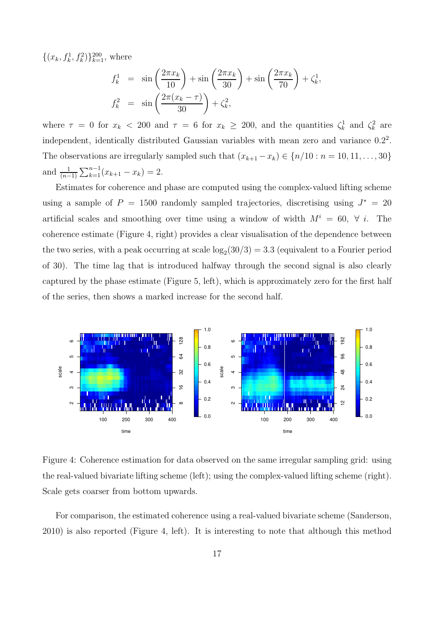$\{(x_k, f_k^1, f_k^2)\}_{k=1}^{200}$ , where

$$
f_k^1 = \sin\left(\frac{2\pi x_k}{10}\right) + \sin\left(\frac{2\pi x_k}{30}\right) + \sin\left(\frac{2\pi x_k}{70}\right) + \zeta_k^1,
$$
  

$$
f_k^2 = \sin\left(\frac{2\pi (x_k - \tau)}{30}\right) + \zeta_k^2,
$$

where  $\tau = 0$  for  $x_k < 200$  and  $\tau = 6$  for  $x_k \ge 200$ , and the quantities  $\zeta_k^1$  and  $\zeta_k^2$  are independent, identically distributed Gaussian variables with mean zero and variance  $0.2<sup>2</sup>$ . The observations are irregularly sampled such that  $(x_{k+1} - x_k) \in \{n/10 : n = 10, 11, \ldots, 30\}$ and  $\frac{1}{(n-1)} \sum_{k=1}^{n-1} (x_{k+1} - x_k) = 2.$ 

Estimates for coherence and phase are computed using the complex-valued lifting scheme using a sample of  $P = 1500$  randomly sampled trajectories, discretising using  $J^* = 20$ artificial scales and smoothing over time using a window of width  $M^i = 60, \forall i$ . The coherence estimate (Figure 4, right) provides a clear visualisation of the dependence between the two series, with a peak occurring at scale  $\log_2(30/3) = 3.3$  (equivalent to a Fourier period of 30). The time lag that is introduced halfway through the second signal is also clearly captured by the phase estimate (Figure 5, left), which is approximately zero for the first half of the series, then shows a marked increase for the second half.



Figure 4: Coherence estimation for data observed on the same irregular sampling grid: using the real-valued bivariate lifting scheme (left); using the complex-valued lifting scheme (right). Scale gets coarser from bottom upwards.

For comparison, the estimated coherence using a real-valued bivariate scheme (Sanderson, 2010) is also reported (Figure 4, left). It is interesting to note that although this method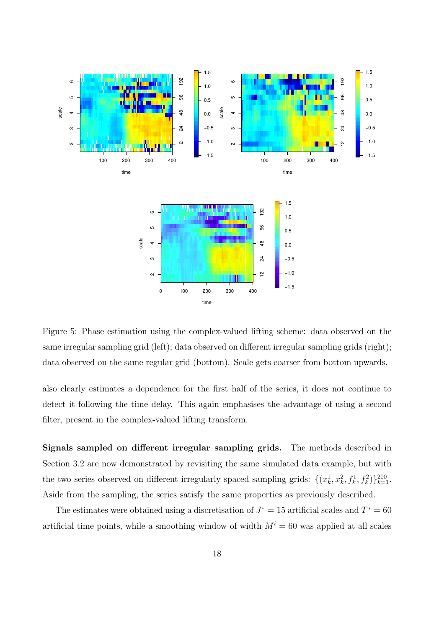

Figure 5: Phase estimation using the complex-valued lifting scheme: data observed on the same irregular sampling grid (left); data observed on different irregular sampling grids (right); data observed on the same regular grid (bottom). Scale gets coarser from bottom upwards.

also clearly estimates a dependence for the first half of the series, it does not continue to detect it following the time delay. This again emphasises the advantage of using a second filter, present in the complex-valued lifting transform.

Signals sampled on different irregular sampling grids. The methods described in Section 3.2 are now demonstrated by revisiting the same simulated data example, but with the two series observed on different irregularly spaced sampling grids:  $\{(x_k^1, x_k^2, f_k^1, f_k^2)\}_{k=1}^{200}$ . Aside from the sampling, the series satisfy the same properties as previously described.

The estimates were obtained using a discretisation of  $J^* = 15$  artificial scales and  $T^* = 60$ artificial time points, while a smoothing window of width  $M^i = 60$  was applied at all scales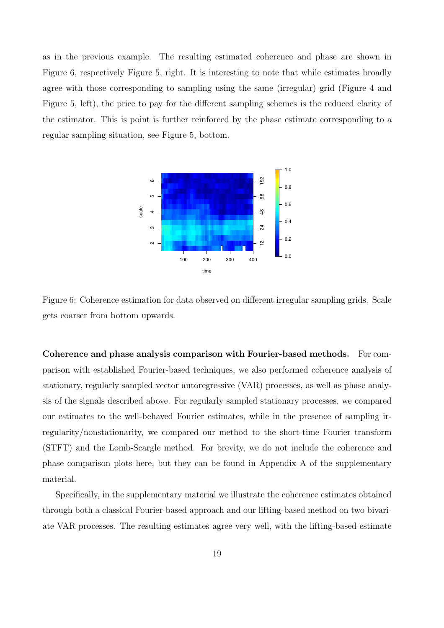as in the previous example. The resulting estimated coherence and phase are shown in Figure 6, respectively Figure 5, right. It is interesting to note that while estimates broadly agree with those corresponding to sampling using the same (irregular) grid (Figure 4 and Figure 5, left), the price to pay for the different sampling schemes is the reduced clarity of the estimator. This is point is further reinforced by the phase estimate corresponding to a regular sampling situation, see Figure 5, bottom.



Figure 6: Coherence estimation for data observed on different irregular sampling grids. Scale gets coarser from bottom upwards.

Coherence and phase analysis comparison with Fourier-based methods. For comparison with established Fourier-based techniques, we also performed coherence analysis of stationary, regularly sampled vector autoregressive (VAR) processes, as well as phase analysis of the signals described above. For regularly sampled stationary processes, we compared our estimates to the well-behaved Fourier estimates, while in the presence of sampling irregularity/nonstationarity, we compared our method to the short-time Fourier transform (STFT) and the Lomb-Scargle method. For brevity, we do not include the coherence and phase comparison plots here, but they can be found in Appendix A of the supplementary material.

Specifically, in the supplementary material we illustrate the coherence estimates obtained through both a classical Fourier-based approach and our lifting-based method on two bivariate VAR processes. The resulting estimates agree very well, with the lifting-based estimate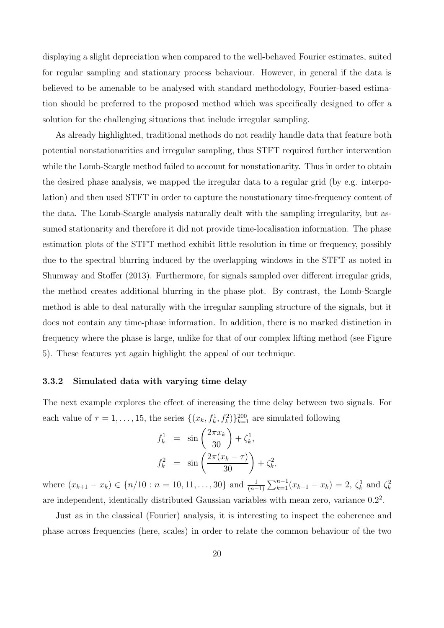displaying a slight depreciation when compared to the well-behaved Fourier estimates, suited for regular sampling and stationary process behaviour. However, in general if the data is believed to be amenable to be analysed with standard methodology, Fourier-based estimation should be preferred to the proposed method which was specifically designed to offer a solution for the challenging situations that include irregular sampling.

As already highlighted, traditional methods do not readily handle data that feature both potential nonstationarities and irregular sampling, thus STFT required further intervention while the Lomb-Scargle method failed to account for nonstationarity. Thus in order to obtain the desired phase analysis, we mapped the irregular data to a regular grid (by e.g. interpolation) and then used STFT in order to capture the nonstationary time-frequency content of the data. The Lomb-Scargle analysis naturally dealt with the sampling irregularity, but assumed stationarity and therefore it did not provide time-localisation information. The phase estimation plots of the STFT method exhibit little resolution in time or frequency, possibly due to the spectral blurring induced by the overlapping windows in the STFT as noted in Shumway and Stoffer (2013). Furthermore, for signals sampled over different irregular grids, the method creates additional blurring in the phase plot. By contrast, the Lomb-Scargle method is able to deal naturally with the irregular sampling structure of the signals, but it does not contain any time-phase information. In addition, there is no marked distinction in frequency where the phase is large, unlike for that of our complex lifting method (see Figure 5). These features yet again highlight the appeal of our technique.

### 3.3.2 Simulated data with varying time delay

The next example explores the effect of increasing the time delay between two signals. For each value of  $\tau = 1, \ldots, 15$ , the series  $\{(x_k, f_k^1, f_k^2)\}_{k=1}^{200}$  are simulated following

$$
f_k^1 = \sin\left(\frac{2\pi x_k}{30}\right) + \zeta_k^1,
$$
  

$$
f_k^2 = \sin\left(\frac{2\pi (x_k - \tau)}{30}\right) + \zeta_k^2,
$$

where  $(x_{k+1} - x_k) \in \{n/10 : n = 10, 11, ..., 30\}$  and  $\frac{1}{(n-1)} \sum_{k=1}^{n-1} (x_{k+1} - x_k) = 2$ ,  $\zeta_k^1$  and  $\zeta_k^2$ are independent, identically distributed Gaussian variables with mean zero, variance  $0.2<sup>2</sup>$ .

Just as in the classical (Fourier) analysis, it is interesting to inspect the coherence and phase across frequencies (here, scales) in order to relate the common behaviour of the two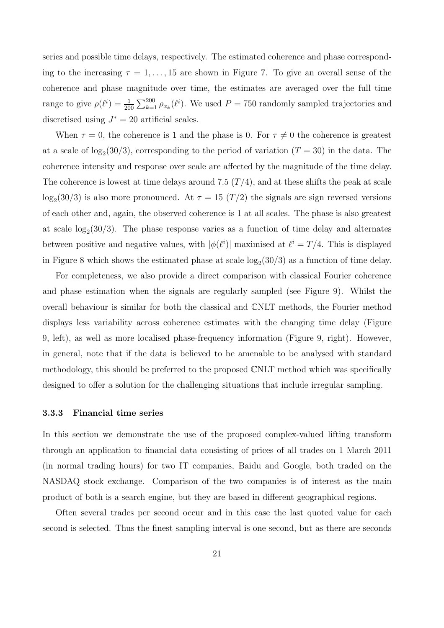series and possible time delays, respectively. The estimated coherence and phase corresponding to the increasing  $\tau = 1, \ldots, 15$  are shown in Figure 7. To give an overall sense of the coherence and phase magnitude over time, the estimates are averaged over the full time range to give  $\rho(\ell^i) = \frac{1}{200} \sum_{k=1}^{200} \rho_{x_k}(\ell^i)$ . We used  $P = 750$  randomly sampled trajectories and discretised using  $J^* = 20$  artificial scales.

When  $\tau = 0$ , the coherence is 1 and the phase is 0. For  $\tau \neq 0$  the coherence is greatest at a scale of  $log_2(30/3)$ , corresponding to the period of variation  $(T = 30)$  in the data. The coherence intensity and response over scale are affected by the magnitude of the time delay. The coherence is lowest at time delays around 7.5  $(T/4)$ , and at these shifts the peak at scale  $\log_2(30/3)$  is also more pronounced. At  $\tau = 15$   $(T/2)$  the signals are sign reversed versions of each other and, again, the observed coherence is 1 at all scales. The phase is also greatest at scale  $log_2(30/3)$ . The phase response varies as a function of time delay and alternates between positive and negative values, with  $|\phi(\ell^i)|$  maximised at  $\ell^i = T/4$ . This is displayed in Figure 8 which shows the estimated phase at scale  $log_2(30/3)$  as a function of time delay.

For completeness, we also provide a direct comparison with classical Fourier coherence and phase estimation when the signals are regularly sampled (see Figure 9). Whilst the overall behaviour is similar for both the classical and CNLT methods, the Fourier method displays less variability across coherence estimates with the changing time delay (Figure 9, left), as well as more localised phase-frequency information (Figure 9, right). However, in general, note that if the data is believed to be amenable to be analysed with standard methodology, this should be preferred to the proposed CNLT method which was specifically designed to offer a solution for the challenging situations that include irregular sampling.

### 3.3.3 Financial time series

In this section we demonstrate the use of the proposed complex-valued lifting transform through an application to financial data consisting of prices of all trades on 1 March 2011 (in normal trading hours) for two IT companies, Baidu and Google, both traded on the NASDAQ stock exchange. Comparison of the two companies is of interest as the main product of both is a search engine, but they are based in different geographical regions.

Often several trades per second occur and in this case the last quoted value for each second is selected. Thus the finest sampling interval is one second, but as there are seconds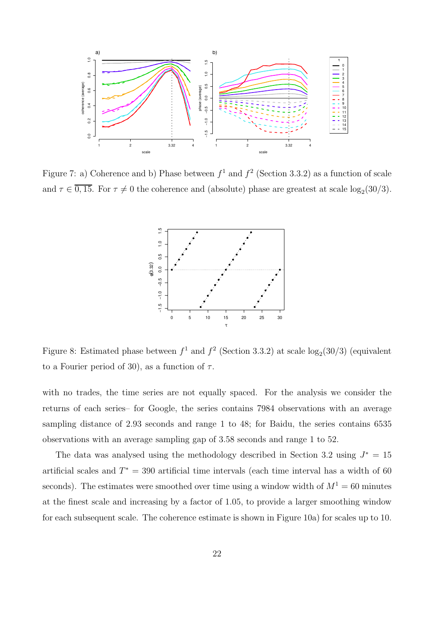

Figure 7: a) Coherence and b) Phase between  $f^1$  and  $f^2$  (Section 3.3.2) as a function of scale and  $\tau \in 0, 15$ . For  $\tau \neq 0$  the coherence and (absolute) phase are greatest at scale  $log_2(30/3)$ .



Figure 8: Estimated phase between  $f^1$  and  $f^2$  (Section 3.3.2) at scale  $log_2(30/3)$  (equivalent to a Fourier period of 30), as a function of  $\tau$ .

with no trades, the time series are not equally spaced. For the analysis we consider the returns of each series– for Google, the series contains 7984 observations with an average sampling distance of 2.93 seconds and range 1 to 48; for Baidu, the series contains 6535 observations with an average sampling gap of 3.58 seconds and range 1 to 52.

The data was analysed using the methodology described in Section 3.2 using  $J^* = 15$ artificial scales and  $T^* = 390$  artificial time intervals (each time interval has a width of 60 seconds). The estimates were smoothed over time using a window width of  $M^1 = 60$  minutes at the finest scale and increasing by a factor of 1.05, to provide a larger smoothing window for each subsequent scale. The coherence estimate is shown in Figure 10a) for scales up to 10.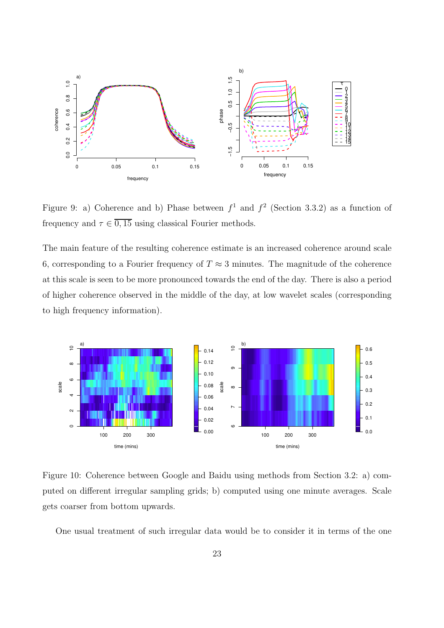

Figure 9: a) Coherence and b) Phase between  $f^1$  and  $f^2$  (Section 3.3.2) as a function of frequency and  $\tau \in \overline{0,15}$  using classical Fourier methods.

The main feature of the resulting coherence estimate is an increased coherence around scale 6, corresponding to a Fourier frequency of  $T \approx 3$  minutes. The magnitude of the coherence at this scale is seen to be more pronounced towards the end of the day. There is also a period of higher coherence observed in the middle of the day, at low wavelet scales (corresponding to high frequency information).



Figure 10: Coherence between Google and Baidu using methods from Section 3.2: a) computed on different irregular sampling grids; b) computed using one minute averages. Scale gets coarser from bottom upwards.

One usual treatment of such irregular data would be to consider it in terms of the one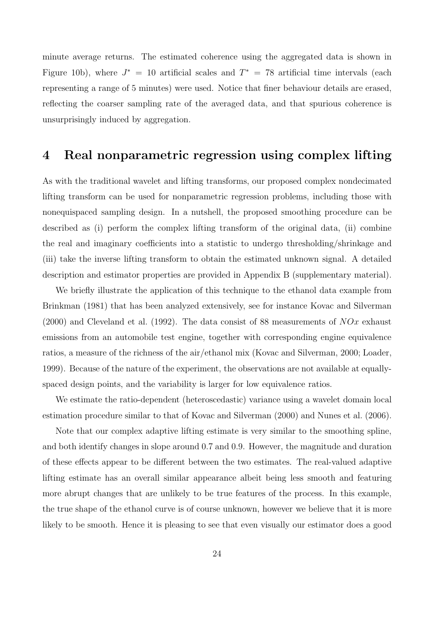minute average returns. The estimated coherence using the aggregated data is shown in Figure 10b), where  $J^* = 10$  artificial scales and  $T^* = 78$  artificial time intervals (each representing a range of 5 minutes) were used. Notice that finer behaviour details are erased, reflecting the coarser sampling rate of the averaged data, and that spurious coherence is unsurprisingly induced by aggregation.

### 4 Real nonparametric regression using complex lifting

As with the traditional wavelet and lifting transforms, our proposed complex nondecimated lifting transform can be used for nonparametric regression problems, including those with nonequispaced sampling design. In a nutshell, the proposed smoothing procedure can be described as (i) perform the complex lifting transform of the original data, (ii) combine the real and imaginary coefficients into a statistic to undergo thresholding/shrinkage and (iii) take the inverse lifting transform to obtain the estimated unknown signal. A detailed description and estimator properties are provided in Appendix B (supplementary material).

We briefly illustrate the application of this technique to the ethanol data example from Brinkman (1981) that has been analyzed extensively, see for instance Kovac and Silverman (2000) and Cleveland et al. (1992). The data consist of 88 measurements of  $NOT$  exhaust emissions from an automobile test engine, together with corresponding engine equivalence ratios, a measure of the richness of the air/ethanol mix (Kovac and Silverman, 2000; Loader, 1999). Because of the nature of the experiment, the observations are not available at equallyspaced design points, and the variability is larger for low equivalence ratios.

We estimate the ratio-dependent (heteroscedastic) variance using a wavelet domain local estimation procedure similar to that of Kovac and Silverman (2000) and Nunes et al. (2006).

Note that our complex adaptive lifting estimate is very similar to the smoothing spline, and both identify changes in slope around 0.7 and 0.9. However, the magnitude and duration of these effects appear to be different between the two estimates. The real-valued adaptive lifting estimate has an overall similar appearance albeit being less smooth and featuring more abrupt changes that are unlikely to be true features of the process. In this example, the true shape of the ethanol curve is of course unknown, however we believe that it is more likely to be smooth. Hence it is pleasing to see that even visually our estimator does a good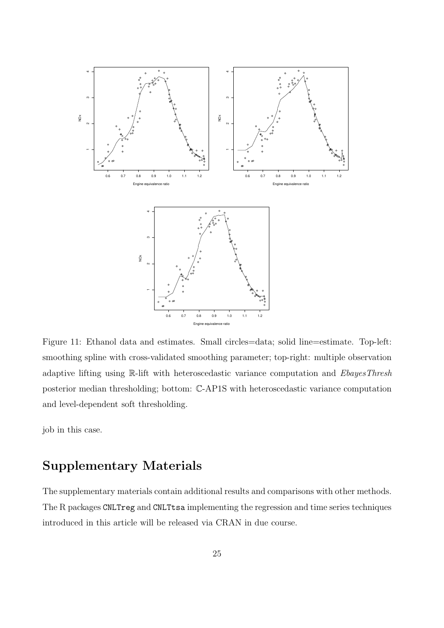

Figure 11: Ethanol data and estimates. Small circles=data; solid line=estimate. Top-left: smoothing spline with cross-validated smoothing parameter; top-right: multiple observation adaptive lifting using R-lift with heteroscedastic variance computation and *EbayesThresh* posterior median thresholding; bottom: C-AP1S with heteroscedastic variance computation and level-dependent soft thresholding.

job in this case.

# Supplementary Materials

The supplementary materials contain additional results and comparisons with other methods. The R packages CNLTreg and CNLTtsa implementing the regression and time series techniques introduced in this article will be released via CRAN in due course.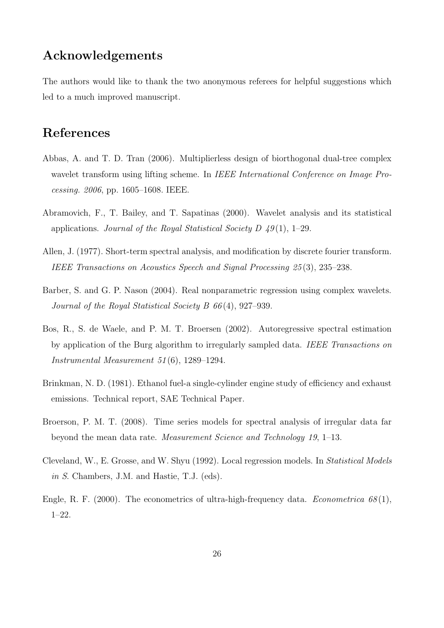# Acknowledgements

The authors would like to thank the two anonymous referees for helpful suggestions which led to a much improved manuscript.

## References

- Abbas, A. and T. D. Tran (2006). Multiplierless design of biorthogonal dual-tree complex wavelet transform using lifting scheme. In IEEE International Conference on Image Processing. 2006, pp. 1605–1608. IEEE.
- Abramovich, F., T. Bailey, and T. Sapatinas (2000). Wavelet analysis and its statistical applications. Journal of the Royal Statistical Society D  $49(1)$ , 1–29.
- Allen, J. (1977). Short-term spectral analysis, and modification by discrete fourier transform. IEEE Transactions on Acoustics Speech and Signal Processing 25 (3), 235–238.
- Barber, S. and G. P. Nason (2004). Real nonparametric regression using complex wavelets. Journal of the Royal Statistical Society B 66 (4), 927–939.
- Bos, R., S. de Waele, and P. M. T. Broersen (2002). Autoregressive spectral estimation by application of the Burg algorithm to irregularly sampled data. IEEE Transactions on Instrumental Measurement 51 (6), 1289–1294.
- Brinkman, N. D. (1981). Ethanol fuel-a single-cylinder engine study of efficiency and exhaust emissions. Technical report, SAE Technical Paper.
- Broerson, P. M. T. (2008). Time series models for spectral analysis of irregular data far beyond the mean data rate. Measurement Science and Technology 19, 1–13.
- Cleveland, W., E. Grosse, and W. Shyu (1992). Local regression models. In Statistical Models in S. Chambers, J.M. and Hastie, T.J. (eds).
- Engle, R. F. (2000). The econometrics of ultra-high-frequency data. *Econometrica*  $68(1)$ , 1–22.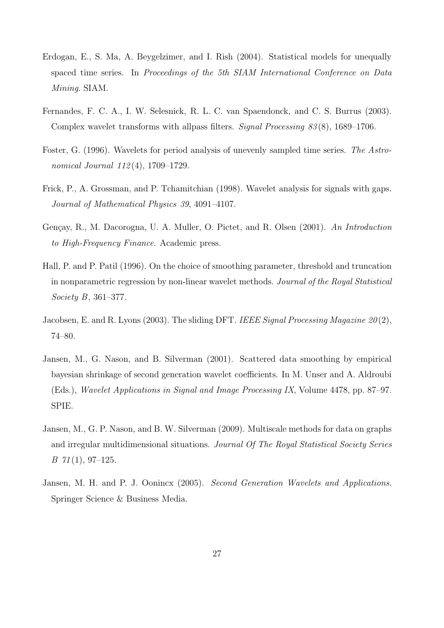- Erdogan, E., S. Ma, A. Beygelzimer, and I. Rish (2004). Statistical models for unequally spaced time series. In Proceedings of the 5th SIAM International Conference on Data Mining. SIAM.
- Fernandes, F. C. A., I. W. Selesnick, R. L. C. van Spaendonck, and C. S. Burrus (2003). Complex wavelet transforms with allpass filters. Signal Processing 83 (8), 1689–1706.
- Foster, G. (1996). Wavelets for period analysis of unevenly sampled time series. The Astronomical Journal 112(4), 1709–1729.
- Frick, P., A. Grossman, and P. Tchamitchian (1998). Wavelet analysis for signals with gaps. Journal of Mathematical Physics 39, 4091–4107.
- Gençay, R., M. Dacorogna, U. A. Muller, O. Pictet, and R. Olsen (2001). An Introduction to High-Frequency Finance. Academic press.
- Hall, P. and P. Patil (1996). On the choice of smoothing parameter, threshold and truncation in nonparametric regression by non-linear wavelet methods. Journal of the Royal Statistical Society B, 361–377.
- Jacobsen, E. and R. Lyons (2003). The sliding DFT. IEEE Signal Processing Magazine 20(2), 74–80.
- Jansen, M., G. Nason, and B. Silverman (2001). Scattered data smoothing by empirical bayesian shrinkage of second generation wavelet coefficients. In M. Unser and A. Aldroubi (Eds.), Wavelet Applications in Signal and Image Processing IX, Volume 4478, pp. 87–97. SPIE.
- Jansen, M., G. P. Nason, and B. W. Silverman (2009). Multiscale methods for data on graphs and irregular multidimensional situations. Journal Of The Royal Statistical Society Series  $B \, 71(1), 97-125.$
- Jansen, M. H. and P. J. Oonincx (2005). Second Generation Wavelets and Applications. Springer Science & Business Media.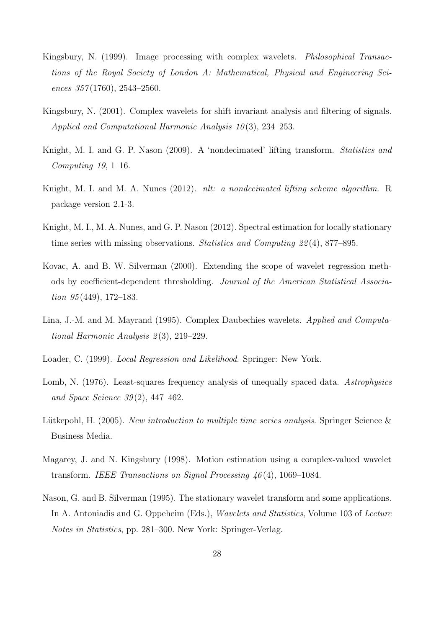- Kingsbury, N. (1999). Image processing with complex wavelets. Philosophical Transactions of the Royal Society of London A: Mathematical, Physical and Engineering Sciences  $357(1760)$ ,  $2543-2560$ .
- Kingsbury, N. (2001). Complex wavelets for shift invariant analysis and filtering of signals. Applied and Computational Harmonic Analysis  $10(3)$ , 234–253.
- Knight, M. I. and G. P. Nason (2009). A 'nondecimated' lifting transform. Statistics and Computing  $19, 1-16$ .
- Knight, M. I. and M. A. Nunes (2012). nlt: a nondecimated lifting scheme algorithm. R package version 2.1-3.
- Knight, M. I., M. A. Nunes, and G. P. Nason (2012). Spectral estimation for locally stationary time series with missing observations. Statistics and Computing 22 (4), 877–895.
- Kovac, A. and B. W. Silverman (2000). Extending the scope of wavelet regression methods by coefficient-dependent thresholding. Journal of the American Statistical Association  $95(449)$ , 172-183.
- Lina, J.-M. and M. Mayrand (1995). Complex Daubechies wavelets. Applied and Computational Harmonic Analysis 2 (3), 219–229.
- Loader, C. (1999). Local Regression and Likelihood. Springer: New York.
- Lomb, N. (1976). Least-squares frequency analysis of unequally spaced data. Astrophysics and Space Science 39 (2), 447–462.
- Lütkepohl, H. (2005). New introduction to multiple time series analysis. Springer Science & Business Media.
- Magarey, J. and N. Kingsbury (1998). Motion estimation using a complex-valued wavelet transform. IEEE Transactions on Signal Processing 46 (4), 1069–1084.
- Nason, G. and B. Silverman (1995). The stationary wavelet transform and some applications. In A. Antoniadis and G. Oppeheim (Eds.), *Wavelets and Statistics*, Volume 103 of *Lecture* Notes in Statistics, pp. 281–300. New York: Springer-Verlag.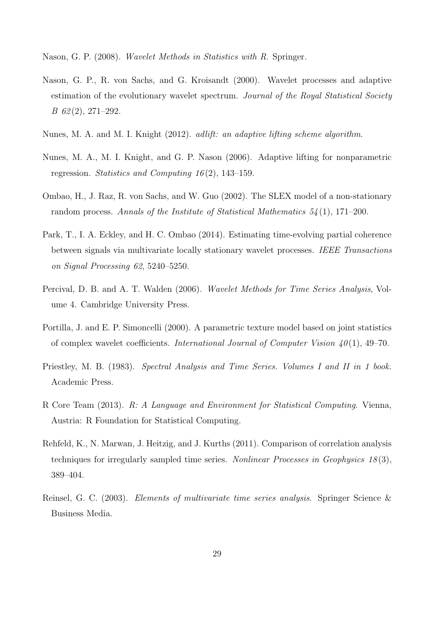Nason, G. P. (2008). Wavelet Methods in Statistics with R. Springer.

- Nason, G. P., R. von Sachs, and G. Kroisandt (2000). Wavelet processes and adaptive estimation of the evolutionary wavelet spectrum. Journal of the Royal Statistical Society B 62 (2), 271–292.
- Nunes, M. A. and M. I. Knight (2012). adlift: an adaptive lifting scheme algorithm.
- Nunes, M. A., M. I. Knight, and G. P. Nason (2006). Adaptive lifting for nonparametric regression. Statistics and Computing 16 (2), 143–159.
- Ombao, H., J. Raz, R. von Sachs, and W. Guo (2002). The SLEX model of a non-stationary random process. Annals of the Institute of Statistical Mathematics  $54(1)$ , 171–200.
- Park, T., I. A. Eckley, and H. C. Ombao (2014). Estimating time-evolving partial coherence between signals via multivariate locally stationary wavelet processes. IEEE Transactions on Signal Processing 62, 5240–5250.
- Percival, D. B. and A. T. Walden (2006). Wavelet Methods for Time Series Analysis, Volume 4. Cambridge University Press.
- Portilla, J. and E. P. Simoncelli (2000). A parametric texture model based on joint statistics of complex wavelet coefficients. International Journal of Computer Vision  $40(1)$ , 49–70.
- Priestley, M. B. (1983). Spectral Analysis and Time Series. Volumes I and II in 1 book. Academic Press.
- R Core Team (2013). R: A Language and Environment for Statistical Computing. Vienna, Austria: R Foundation for Statistical Computing.
- Rehfeld, K., N. Marwan, J. Heitzig, and J. Kurths (2011). Comparison of correlation analysis techniques for irregularly sampled time series. Nonlinear Processes in Geophysics 18 (3), 389–404.
- Reinsel, G. C. (2003). Elements of multivariate time series analysis. Springer Science & Business Media.